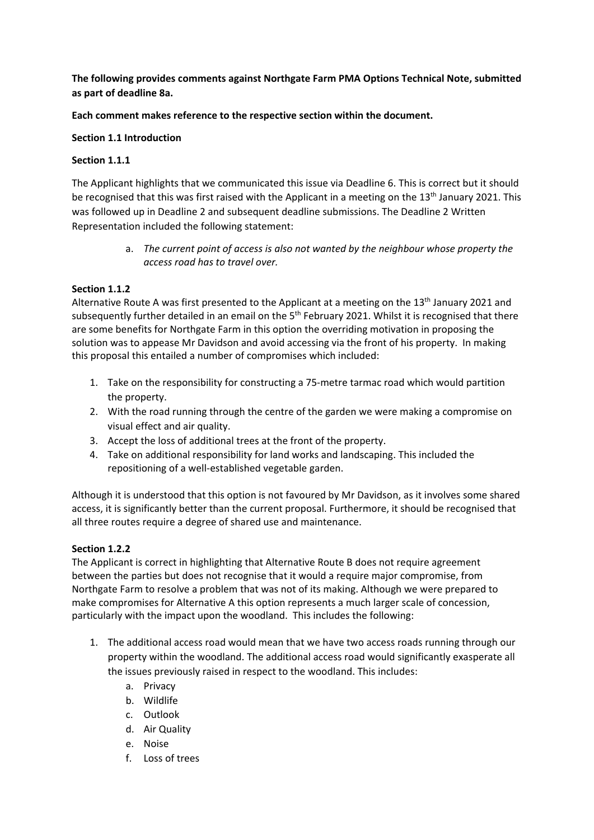**The following provides comments against Northgate Farm PMA Options Technical Note, submitted as part of deadline 8a.** 

**Each comment makes reference to the respective section within the document.**

#### **Section 1.1 Introduction**

#### **Section 1.1.1**

The Applicant highlights that we communicated this issue via Deadline 6. This is correct but it should be recognised that this was first raised with the Applicant in a meeting on the 13<sup>th</sup> January 2021. This was followed up in Deadline 2 and subsequent deadline submissions. The Deadline 2 Written Representation included the following statement:

> a. *The current point of access is also not wanted by the neighbour whose property the access road has to travel over.*

#### **Section 1.1.2**

Alternative Route A was first presented to the Applicant at a meeting on the 13<sup>th</sup> January 2021 and subsequently further detailed in an email on the 5<sup>th</sup> February 2021. Whilst it is recognised that there are some benefits for Northgate Farm in this option the overriding motivation in proposing the solution was to appease Mr Davidson and avoid accessing via the front of his property. In making this proposal this entailed a number of compromises which included:

- 1. Take on the responsibility for constructing a 75-metre tarmac road which would partition the property.
- 2. With the road running through the centre of the garden we were making a compromise on visual effect and air quality.
- 3. Accept the loss of additional trees at the front of the property.
- 4. Take on additional responsibility for land works and landscaping. This included the repositioning of a well-established vegetable garden.

Although it is understood that this option is not favoured by Mr Davidson, as it involves some shared access, it is significantly better than the current proposal. Furthermore, it should be recognised that all three routes require a degree of shared use and maintenance.

#### **Section 1.2.2**

The Applicant is correct in highlighting that Alternative Route B does not require agreement between the parties but does not recognise that it would a require major compromise, from Northgate Farm to resolve a problem that was not of its making. Although we were prepared to make compromises for Alternative A this option represents a much larger scale of concession, particularly with the impact upon the woodland. This includes the following:

- 1. The additional access road would mean that we have two access roads running through our property within the woodland. The additional access road would significantly exasperate all the issues previously raised in respect to the woodland. This includes:
	- a. Privacy
	- b. Wildlife
	- c. Outlook
	- d. Air Quality
	- e. Noise
	- f. Loss of trees